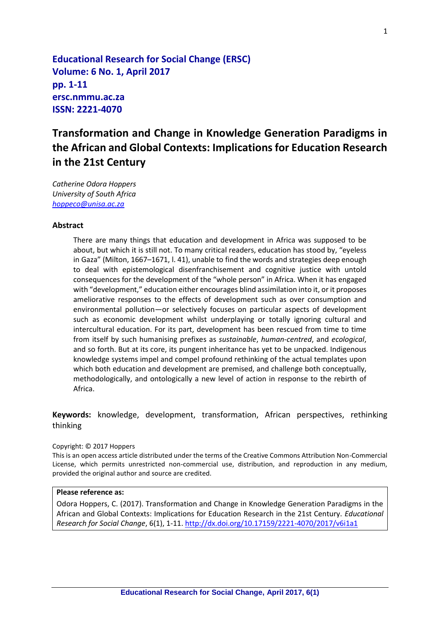**Educational Research for Social Change (ERSC) Volume: 6 No. 1, April 2017 pp. 1-11 ersc.nmmu.ac.za ISSN: 2221-4070**

# **Transformation and Change in Knowledge Generation Paradigms in the African and Global Contexts: Implications for Education Research in the 21st Century**

*Catherine Odora Hoppers University of South Africa [hoppeco@unisa.ac.za](mailto:hoppeco@unisa.ac.za)*

#### **Abstract**

There are many things that education and development in Africa was supposed to be about, but which it is still not. To many critical readers, education has stood by, "eyeless in Gaza" (Milton, 1667–1671, l. 41), unable to find the words and strategies deep enough to deal with epistemological disenfranchisement and cognitive justice with untold consequences for the development of the "whole person" in Africa. When it has engaged with "development," education either encourages blind assimilation into it, or it proposes ameliorative responses to the effects of development such as over consumption and environmental pollution—or selectively focuses on particular aspects of development such as economic development whilst underplaying or totally ignoring cultural and intercultural education. For its part, development has been rescued from time to time from itself by such humanising prefixes as *sustainable*, *human-centred*, and *ecological*, and so forth. But at its core, its pungent inheritance has yet to be unpacked. Indigenous knowledge systems impel and compel profound rethinking of the actual templates upon which both education and development are premised, and challenge both conceptually, methodologically, and ontologically a new level of action in response to the rebirth of Africa.

#### **Keywords:** knowledge, development, transformation, African perspectives, rethinking thinking

#### Copyright: © 2017 Hoppers

This is an open access article distributed under the terms of the Creative Commons Attribution Non-Commercial License, which permits unrestricted non-commercial use, distribution, and reproduction in any medium, provided the original author and source are credited.

#### **Please reference as:**

Odora Hoppers, C. (2017). Transformation and Change in Knowledge Generation Paradigms in the African and Global Contexts: Implications for Education Research in the 21st Century. *Educational Research for Social Change*, 6(1), 1-11[. http://dx.doi.org/10.17159/2221-4070/2017/v6i1a1](http://dx.doi.org/10.17159/2221-4070/2017/v6i1a1)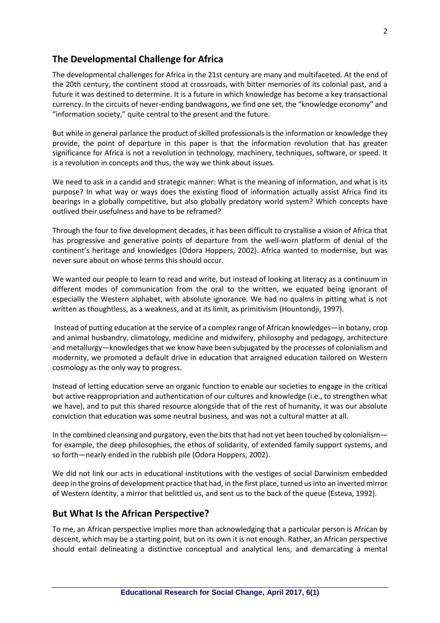# **The Developmental Challenge for Africa**

The developmental challenges for Africa in the 21st century are many and multifaceted. At the end of the 20th century, the continent stood at crossroads, with bitter memories of its colonial past, and a future it was destined to determine. It is a future in which knowledge has become a key transactional currency. In the circuits of never-ending bandwagons, we find one set, the "knowledge economy" and "information society," quite central to the present and the future.

But while in general parlance the product of skilled professionals is the information or knowledge they provide, the point of departure in this paper is that the information revolution that has greater significance for Africa is not a revolution in technology, machinery, techniques, software, or speed. It is a revolution in concepts and thus, the way we think about issues.

We need to ask in a candid and strategic manner: What is the meaning of information, and what is its purpose? In what way or ways does the existing flood of information actually assist Africa find its bearings in a globally competitive, but also globally predatory world system? Which concepts have outlived their usefulness and have to be reframed?

Through the four to five development decades, it has been difficult to crystallise a vision of Africa that has progressive and generative points of departure from the well-worn platform of denial of the continent's heritage and knowledges (Odora Hoppers, 2002). Africa wanted to modernise, but was never sure about on whose terms this should occur.

We wanted our people to learn to read and write, but instead of looking at literacy as a continuum in different modes of communication from the oral to the written, we equated being ignorant of especially the Western alphabet, with absolute ignorance. We had no qualms in pitting what is not written as thoughtless, as a weakness, and at its limit, as primitivism (Hountondji, 1997).

Instead of putting education at the service of a complex range of African knowledges—in botany, crop and animal husbandry, climatology, medicine and midwifery, philosophy and pedagogy, architecture and metallurgy—knowledges that we know have been subjugated by the processes of colonialism and modernity, we promoted a default drive in education that arraigned education tailored on Western cosmology as the only way to progress.

Instead of letting education serve an organic function to enable our societies to engage in the critical but active reappropriation and authentication of our cultures and knowledge (i.e., to strengthen what we have), and to put this shared resource alongside that of the rest of humanity, it was our absolute conviction that education was some neutral business, and was not a cultural matter at all.

In the combined cleansing and purgatory, even the bits that had not yet been touched by colonialism for example, the deep philosophies, the ethos of solidarity, of extended family support systems, and so forth—nearly ended in the rubbish pile (Odora Hoppers, 2002).

We did not link our acts in educational institutions with the vestiges of social Darwinism embedded deep in the groins of development practice that had, in the first place, turned us into an inverted mirror of Western identity, a mirror that belittled us, and sent us to the back of the queue (Esteva, 1992).

## **But What Is the African Perspective?**

To me, an African perspective implies more than acknowledging that a particular person is African by descent, which may be a starting point, but on its own it is not enough. Rather, an African perspective should entail delineating a distinctive conceptual and analytical lens, and demarcating a mental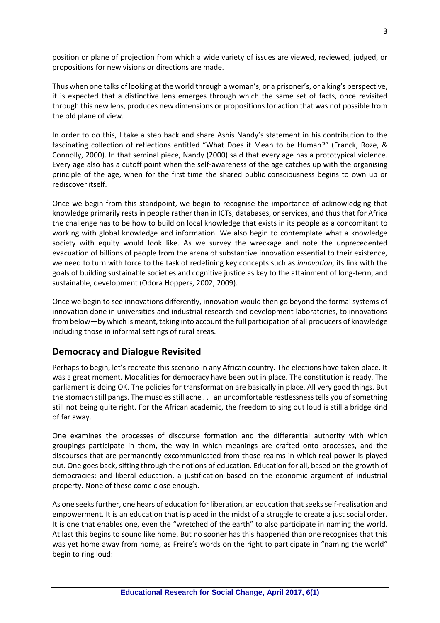position or plane of projection from which a wide variety of issues are viewed, reviewed, judged, or propositions for new visions or directions are made.

Thus when one talks of looking at the world through a woman's, or a prisoner's, or a king's perspective, it is expected that a distinctive lens emerges through which the same set of facts, once revisited through this new lens, produces new dimensions or propositions for action that was not possible from the old plane of view.

In order to do this, I take a step back and share Ashis Nandy's statement in his contribution to the fascinating collection of reflections entitled "What Does it Mean to be Human?" (Franck, Roze, & Connolly, 2000). In that seminal piece, Nandy (2000) said that every age has a prototypical violence. Every age also has a cutoff point when the self-awareness of the age catches up with the organising principle of the age, when for the first time the shared public consciousness begins to own up or rediscover itself.

Once we begin from this standpoint, we begin to recognise the importance of acknowledging that knowledge primarily rests in people rather than in ICTs, databases, or services, and thus that for Africa the challenge has to be how to build on local knowledge that exists in its people as a concomitant to working with global knowledge and information. We also begin to contemplate what a knowledge society with equity would look like. As we survey the wreckage and note the unprecedented evacuation of billions of people from the arena of substantive innovation essential to their existence, we need to turn with force to the task of redefining key concepts such as *innovation*, its link with the goals of building sustainable societies and cognitive justice as key to the attainment of long-term, and sustainable, development (Odora Hoppers, 2002; 2009).

Once we begin to see innovations differently, innovation would then go beyond the formal systems of innovation done in universities and industrial research and development laboratories, to innovations from below—by which is meant, taking into account the full participation of all producers of knowledge including those in informal settings of rural areas.

## **Democracy and Dialogue Revisited**

Perhaps to begin, let's recreate this scenario in any African country. The elections have taken place. It was a great moment. Modalities for democracy have been put in place. The constitution is ready. The parliament is doing OK. The policies for transformation are basically in place. All very good things. But the stomach still pangs. The muscles still ache . . . an uncomfortable restlessness tells you of something still not being quite right. For the African academic, the freedom to sing out loud is still a bridge kind of far away.

One examines the processes of discourse formation and the differential authority with which groupings participate in them, the way in which meanings are crafted onto processes, and the discourses that are permanently excommunicated from those realms in which real power is played out. One goes back, sifting through the notions of education. Education for all, based on the growth of democracies; and liberal education, a justification based on the economic argument of industrial property. None of these come close enough.

As one seeks further, one hears of education for liberation, an education that seeks self-realisation and empowerment. It is an education that is placed in the midst of a struggle to create a just social order. It is one that enables one, even the "wretched of the earth" to also participate in naming the world. At last this begins to sound like home. But no sooner has this happened than one recognises that this was yet home away from home, as Freire's words on the right to participate in "naming the world" begin to ring loud: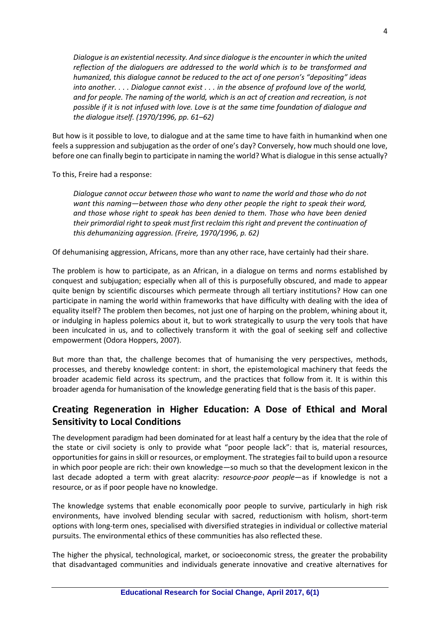*Dialogue is an existential necessity. And since dialogue is the encounter in which the united reflection of the dialoguers are addressed to the world which is to be transformed and humanized, this dialogue cannot be reduced to the act of one person's "depositing" ideas into another. . . . Dialogue cannot exist . . . in the absence of profound love of the world, and for people. The naming of the world, which is an act of creation and recreation, is not possible if it is not infused with love. Love is at the same time foundation of dialogue and the dialogue itself. (1970/1996, pp. 61–62)* 

But how is it possible to love, to dialogue and at the same time to have faith in humankind when one feels a suppression and subjugation as the order of one's day? Conversely, how much should one love, before one can finally begin to participate in naming the world? What is dialogue in this sense actually?

To this, Freire had a response:

*Dialogue cannot occur between those who want to name the world and those who do not want this naming—between those who deny other people the right to speak their word, and those whose right to speak has been denied to them. Those who have been denied their primordial right to speak must first reclaim this right and prevent the continuation of this dehumanizing aggression. (Freire, 1970/1996, p. 62)*

Of dehumanising aggression, Africans, more than any other race, have certainly had their share.

The problem is how to participate, as an African, in a dialogue on terms and norms established by conquest and subjugation; especially when all of this is purposefully obscured, and made to appear quite benign by scientific discourses which permeate through all tertiary institutions? How can one participate in naming the world within frameworks that have difficulty with dealing with the idea of equality itself? The problem then becomes, not just one of harping on the problem, whining about it, or indulging in hapless polemics about it, but to work strategically to usurp the very tools that have been inculcated in us, and to collectively transform it with the goal of seeking self and collective empowerment (Odora Hoppers, 2007).

But more than that, the challenge becomes that of humanising the very perspectives, methods, processes, and thereby knowledge content: in short, the epistemological machinery that feeds the broader academic field across its spectrum, and the practices that follow from it. It is within this broader agenda for humanisation of the knowledge generating field that is the basis of this paper.

# **Creating Regeneration in Higher Education: A Dose of Ethical and Moral Sensitivity to Local Conditions**

The development paradigm had been dominated for at least half a century by the idea that the role of the state or civil society is only to provide what "poor people lack": that is, material resources, opportunities for gains in skill or resources, or employment. The strategies fail to build upon a resource in which poor people are rich: their own knowledge—so much so that the development lexicon in the last decade adopted a term with great alacrity: *resource-poor people*—as if knowledge is not a resource, or as if poor people have no knowledge.

The knowledge systems that enable economically poor people to survive, particularly in high risk environments, have involved blending secular with sacred, reductionism with holism, short-term options with long-term ones, specialised with diversified strategies in individual or collective material pursuits. The environmental ethics of these communities has also reflected these.

The higher the physical, technological, market, or socioeconomic stress, the greater the probability that disadvantaged communities and individuals generate innovative and creative alternatives for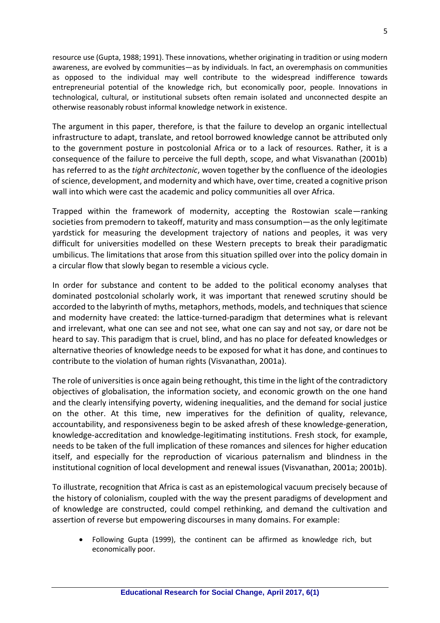resource use (Gupta, 1988; 1991). These innovations, whether originating in tradition or using modern awareness, are evolved by communities—as by individuals. In fact, an overemphasis on communities as opposed to the individual may well contribute to the widespread indifference towards entrepreneurial potential of the knowledge rich, but economically poor, people. Innovations in technological, cultural, or institutional subsets often remain isolated and unconnected despite an otherwise reasonably robust informal knowledge network in existence.

The argument in this paper, therefore, is that the failure to develop an organic intellectual infrastructure to adapt, translate, and retool borrowed knowledge cannot be attributed only to the government posture in postcolonial Africa or to a lack of resources. Rather, it is a consequence of the failure to perceive the full depth, scope, and what Visvanathan (2001b) has referred to as the *tight architectonic*, woven together by the confluence of the ideologies of science, development, and modernity and which have, over time, created a cognitive prison wall into which were cast the academic and policy communities all over Africa.

Trapped within the framework of modernity, accepting the Rostowian scale—ranking societies from premodern to takeoff, maturity and mass consumption—as the only legitimate yardstick for measuring the development trajectory of nations and peoples, it was very difficult for universities modelled on these Western precepts to break their paradigmatic umbilicus. The limitations that arose from this situation spilled over into the policy domain in a circular flow that slowly began to resemble a vicious cycle.

In order for substance and content to be added to the political economy analyses that dominated postcolonial scholarly work, it was important that renewed scrutiny should be accorded to the labyrinth of myths, metaphors, methods, models, and techniques that science and modernity have created: the lattice-turned-paradigm that determines what is relevant and irrelevant, what one can see and not see, what one can say and not say, or dare not be heard to say. This paradigm that is cruel, blind, and has no place for defeated knowledges or alternative theories of knowledge needs to be exposed for what it has done, and continues to contribute to the violation of human rights (Visvanathan, 2001a).

The role of universities is once again being rethought, this time in the light of the contradictory objectives of globalisation, the information society, and economic growth on the one hand and the clearly intensifying poverty, widening inequalities, and the demand for social justice on the other. At this time, new imperatives for the definition of quality, relevance, accountability, and responsiveness begin to be asked afresh of these knowledge-generation, knowledge-accreditation and knowledge-legitimating institutions. Fresh stock, for example, needs to be taken of the full implication of these romances and silences for higher education itself, and especially for the reproduction of vicarious paternalism and blindness in the institutional cognition of local development and renewal issues (Visvanathan, 2001a; 2001b).

To illustrate, recognition that Africa is cast as an epistemological vacuum precisely because of the history of colonialism, coupled with the way the present paradigms of development and of knowledge are constructed, could compel rethinking, and demand the cultivation and assertion of reverse but empowering discourses in many domains. For example:

 Following Gupta (1999), the continent can be affirmed as knowledge rich, but economically poor.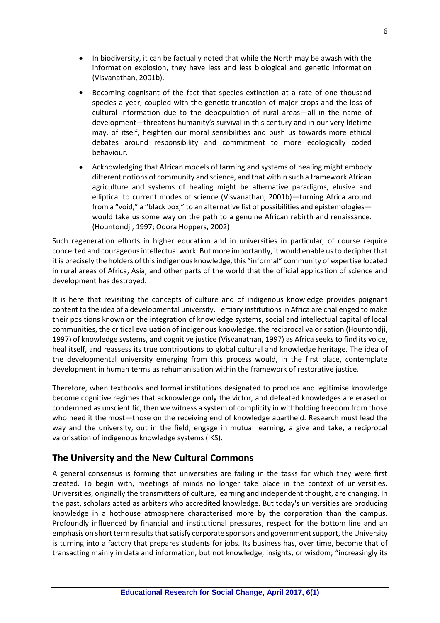- In biodiversity, it can be factually noted that while the North may be awash with the information explosion, they have less and less biological and genetic information (Visvanathan, 2001b).
- Becoming cognisant of the fact that species extinction at a rate of one thousand species a year, coupled with the genetic truncation of major crops and the loss of cultural information due to the depopulation of rural areas—all in the name of development—threatens humanity's survival in this century and in our very lifetime may, of itself, heighten our moral sensibilities and push us towards more ethical debates around responsibility and commitment to more ecologically coded behaviour.
- Acknowledging that African models of farming and systems of healing might embody different notions of community and science, and that within such a framework African agriculture and systems of healing might be alternative paradigms, elusive and elliptical to current modes of science (Visvanathan, 2001b)—turning Africa around from a "void," a "black box," to an alternative list of possibilities and epistemologies would take us some way on the path to a genuine African rebirth and renaissance. (Hountondji, 1997; Odora Hoppers, 2002)

Such regeneration efforts in higher education and in universities in particular, of course require concerted and courageous intellectual work. But more importantly, it would enable us to decipher that it is precisely the holders of this indigenous knowledge, this "informal" community of expertise located in rural areas of Africa, Asia, and other parts of the world that the official application of science and development has destroyed.

It is here that revisiting the concepts of culture and of indigenous knowledge provides poignant content to the idea of a developmental university. Tertiary institutions in Africa are challenged to make their positions known on the integration of knowledge systems, social and intellectual capital of local communities, the critical evaluation of indigenous knowledge, the reciprocal valorisation (Hountondji, 1997) of knowledge systems, and cognitive justice (Visvanathan, 1997) as Africa seeks to find its voice, heal itself, and reassess its true contributions to global cultural and knowledge heritage. The idea of the developmental university emerging from this process would, in the first place, contemplate development in human terms as rehumanisation within the framework of restorative justice.

Therefore, when textbooks and formal institutions designated to produce and legitimise knowledge become cognitive regimes that acknowledge only the victor, and defeated knowledges are erased or condemned as unscientific, then we witness a system of complicity in withholding freedom from those who need it the most—those on the receiving end of knowledge apartheid. Research must lead the way and the university, out in the field, engage in mutual learning, a give and take, a reciprocal valorisation of indigenous knowledge systems (IKS).

## **The University and the New Cultural Commons**

A general consensus is forming that universities are failing in the tasks for which they were first created. To begin with, meetings of minds no longer take place in the context of universities. Universities, originally the transmitters of culture, learning and independent thought, are changing. In the past, scholars acted as arbiters who accredited knowledge. But today's universities are producing knowledge in a hothouse atmosphere characterised more by the corporation than the campus. Profoundly influenced by financial and institutional pressures, respect for the bottom line and an emphasis on short term results that satisfy corporate sponsors and government support, the University is turning into a factory that prepares students for jobs. Its business has, over time, become that of transacting mainly in data and information, but not knowledge, insights, or wisdom; "increasingly its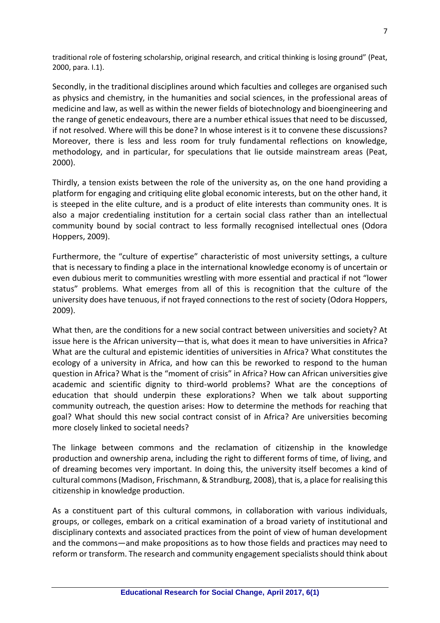traditional role of fostering scholarship, original research, and critical thinking is losing ground" (Peat, 2000, para. I.1).

Secondly, in the traditional disciplines around which faculties and colleges are organised such as physics and chemistry, in the humanities and social sciences, in the professional areas of medicine and law, as well as within the newer fields of biotechnology and bioengineering and the range of genetic endeavours, there are a number ethical issues that need to be discussed, if not resolved. Where will this be done? In whose interest is it to convene these discussions? Moreover, there is less and less room for truly fundamental reflections on knowledge, methodology, and in particular, for speculations that lie outside mainstream areas (Peat, 2000).

Thirdly, a tension exists between the role of the university as, on the one hand providing a platform for engaging and critiquing elite global economic interests, but on the other hand, it is steeped in the elite culture, and is a product of elite interests than community ones. It is also a major credentialing institution for a certain social class rather than an intellectual community bound by social contract to less formally recognised intellectual ones (Odora Hoppers, 2009).

Furthermore, the "culture of expertise" characteristic of most university settings, a culture that is necessary to finding a place in the international knowledge economy is of uncertain or even dubious merit to communities wrestling with more essential and practical if not "lower status" problems. What emerges from all of this is recognition that the culture of the university does have tenuous, if not frayed connections to the rest of society (Odora Hoppers, 2009).

What then, are the conditions for a new social contract between universities and society? At issue here is the African university—that is, what does it mean to have universities in Africa? What are the cultural and epistemic identities of universities in Africa? What constitutes the ecology of a university in Africa, and how can this be reworked to respond to the human question in Africa? What is the "moment of crisis" in Africa? How can African universities give academic and scientific dignity to third-world problems? What are the conceptions of education that should underpin these explorations? When we talk about supporting community outreach, the question arises: How to determine the methods for reaching that goal? What should this new social contract consist of in Africa? Are universities becoming more closely linked to societal needs?

The linkage between commons and the reclamation of citizenship in the knowledge production and ownership arena, including the right to different forms of time, of living, and of dreaming becomes very important. In doing this, the university itself becomes a kind of cultural commons (Madison, Frischmann, & Strandburg, 2008), that is, a place for realising this citizenship in knowledge production.

As a constituent part of this cultural commons, in collaboration with various individuals, groups, or colleges, embark on a critical examination of a broad variety of institutional and disciplinary contexts and associated practices from the point of view of human development and the commons—and make propositions as to how those fields and practices may need to reform or transform. The research and community engagement specialists should think about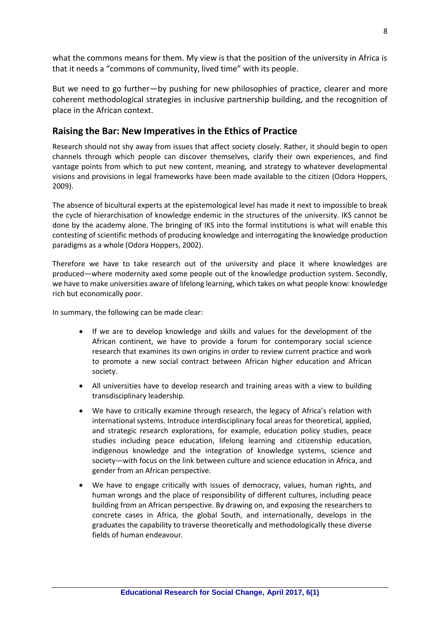what the commons means for them. My view is that the position of the university in Africa is that it needs a "commons of community, lived time" with its people.

But we need to go further—by pushing for new philosophies of practice, clearer and more coherent methodological strategies in inclusive partnership building, and the recognition of place in the African context.

#### **Raising the Bar: New Imperatives in the Ethics of Practice**

Research should not shy away from issues that affect society closely. Rather, it should begin to open channels through which people can discover themselves, clarify their own experiences, and find vantage points from which to put new content, meaning, and strategy to whatever developmental visions and provisions in legal frameworks have been made available to the citizen (Odora Hoppers, 2009).

The absence of bicultural experts at the epistemological level has made it next to impossible to break the cycle of hierarchisation of knowledge endemic in the structures of the university. IKS cannot be done by the academy alone. The bringing of IKS into the formal institutions is what will enable this contesting of scientific methods of producing knowledge and interrogating the knowledge production paradigms as a whole (Odora Hoppers, 2002).

Therefore we have to take research out of the university and place it where knowledges are produced—where modernity axed some people out of the knowledge production system. Secondly, we have to make universities aware of lifelong learning, which takes on what people know: knowledge rich but economically poor.

In summary, the following can be made clear:

- If we are to develop knowledge and skills and values for the development of the African continent, we have to provide a forum for contemporary social science research that examines its own origins in order to review current practice and work to promote a new social contract between African higher education and African society.
- All universities have to develop research and training areas with a view to building transdisciplinary leadership.
- We have to critically examine through research, the legacy of Africa's relation with international systems. Introduce interdisciplinary focal areas for theoretical, applied, and strategic research explorations, for example, education policy studies, peace studies including peace education, lifelong learning and citizenship education, indigenous knowledge and the integration of knowledge systems, science and society—with focus on the link between culture and science education in Africa, and gender from an African perspective.
- We have to engage critically with issues of democracy, values, human rights, and human wrongs and the place of responsibility of different cultures, including peace building from an African perspective. By drawing on, and exposing the researchers to concrete cases in Africa, the global South, and internationally, develops in the graduates the capability to traverse theoretically and methodologically these diverse fields of human endeavour.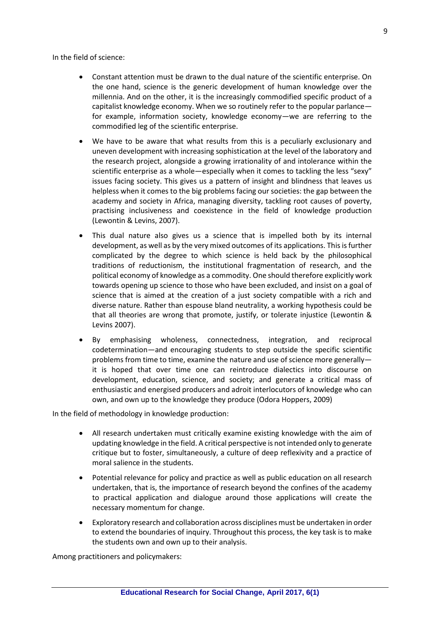In the field of science:

- Constant attention must be drawn to the dual nature of the scientific enterprise. On the one hand, science is the generic development of human knowledge over the millennia. And on the other, it is the increasingly commodified specific product of a capitalist knowledge economy. When we so routinely refer to the popular parlance for example, information society, knowledge economy—we are referring to the commodified leg of the scientific enterprise.
- We have to be aware that what results from this is a peculiarly exclusionary and uneven development with increasing sophistication at the level of the laboratory and the research project, alongside a growing irrationality of and intolerance within the scientific enterprise as a whole—especially when it comes to tackling the less "sexy" issues facing society. This gives us a pattern of insight and blindness that leaves us helpless when it comes to the big problems facing our societies: the gap between the academy and society in Africa, managing diversity, tackling root causes of poverty, practising inclusiveness and coexistence in the field of knowledge production (Lewontin & Levins, 2007).
- This dual nature also gives us a science that is impelled both by its internal development, as well as by the very mixed outcomes of its applications. This is further complicated by the degree to which science is held back by the philosophical traditions of reductionism, the institutional fragmentation of research, and the political economy of knowledge as a commodity. One should therefore explicitly work towards opening up science to those who have been excluded, and insist on a goal of science that is aimed at the creation of a just society compatible with a rich and diverse nature. Rather than espouse bland neutrality, a working hypothesis could be that all theories are wrong that promote, justify, or tolerate injustice (Lewontin & Levins 2007).
- By emphasising wholeness, connectedness, integration, and reciprocal codetermination—and encouraging students to step outside the specific scientific problems from time to time, examine the nature and use of science more generally it is hoped that over time one can reintroduce dialectics into discourse on development, education, science, and society; and generate a critical mass of enthusiastic and energised producers and adroit interlocutors of knowledge who can own, and own up to the knowledge they produce (Odora Hoppers, 2009)

In the field of methodology in knowledge production:

- All research undertaken must critically examine existing knowledge with the aim of updating knowledge in the field. A critical perspective is not intended only to generate critique but to foster, simultaneously, a culture of deep reflexivity and a practice of moral salience in the students.
- Potential relevance for policy and practice as well as public education on all research undertaken, that is, the importance of research beyond the confines of the academy to practical application and dialogue around those applications will create the necessary momentum for change.
- Exploratory research and collaboration across disciplines must be undertaken in order to extend the boundaries of inquiry. Throughout this process, the key task is to make the students own and own up to their analysis.

Among practitioners and policymakers: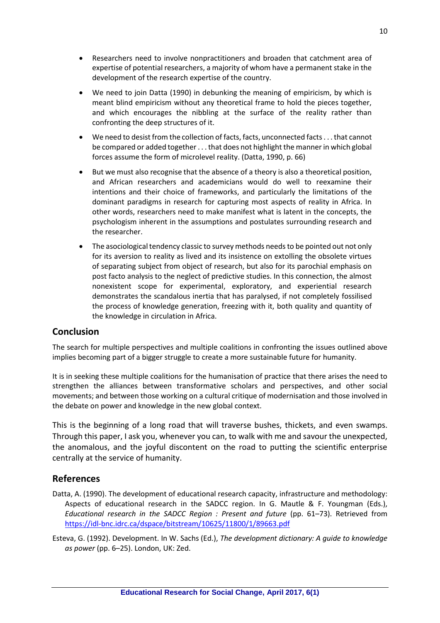- Researchers need to involve nonpractitioners and broaden that catchment area of expertise of potential researchers, a majority of whom have a permanent stake in the development of the research expertise of the country.
- We need to join Datta (1990) in debunking the meaning of empiricism, by which is meant blind empiricism without any theoretical frame to hold the pieces together, and which encourages the nibbling at the surface of the reality rather than confronting the deep structures of it.
- We need to desist from the collection of facts, facts, unconnected facts . . . that cannot be compared or added together . . . that does not highlight the manner in which global forces assume the form of microlevel reality. (Datta, 1990, p. 66)
- But we must also recognise that the absence of a theory is also a theoretical position, and African researchers and academicians would do well to reexamine their intentions and their choice of frameworks, and particularly the limitations of the dominant paradigms in research for capturing most aspects of reality in Africa. In other words, researchers need to make manifest what is latent in the concepts, the psychologism inherent in the assumptions and postulates surrounding research and the researcher.
- The asociological tendency classic to survey methods needs to be pointed out not only for its aversion to reality as lived and its insistence on extolling the obsolete virtues of separating subject from object of research, but also for its parochial emphasis on post facto analysis to the neglect of predictive studies. In this connection, the almost nonexistent scope for experimental, exploratory, and experiential research demonstrates the scandalous inertia that has paralysed, if not completely fossilised the process of knowledge generation, freezing with it, both quality and quantity of the knowledge in circulation in Africa.

#### **Conclusion**

The search for multiple perspectives and multiple coalitions in confronting the issues outlined above implies becoming part of a bigger struggle to create a more sustainable future for humanity.

It is in seeking these multiple coalitions for the humanisation of practice that there arises the need to strengthen the alliances between transformative scholars and perspectives, and other social movements; and between those working on a cultural critique of modernisation and those involved in the debate on power and knowledge in the new global context.

This is the beginning of a long road that will traverse bushes, thickets, and even swamps. Through this paper, I ask you, whenever you can, to walk with me and savour the unexpected, the anomalous, and the joyful discontent on the road to putting the scientific enterprise centrally at the service of humanity.

#### **References**

- Datta, A. (1990). The development of educational research capacity, infrastructure and methodology: Aspects of educational research in the SADCC region. In G. Mautle & F. Youngman (Eds.), *Educational research in the SADCC Region : Present and future* (pp. 61–73). Retrieved from <https://idl-bnc.idrc.ca/dspace/bitstream/10625/11800/1/89663.pdf>
- Esteva, G. (1992). Development. In W. Sachs (Ed.), *[The development dictionary: A guide to knowledge](file:///C:/Users/Moira/Documents/EDITing/ERSC/11April2017/name=)  as power* (pp. 6–[25\). London, UK: Zed.](file:///C:/Users/Moira/Documents/EDITing/ERSC/11April2017/name=)